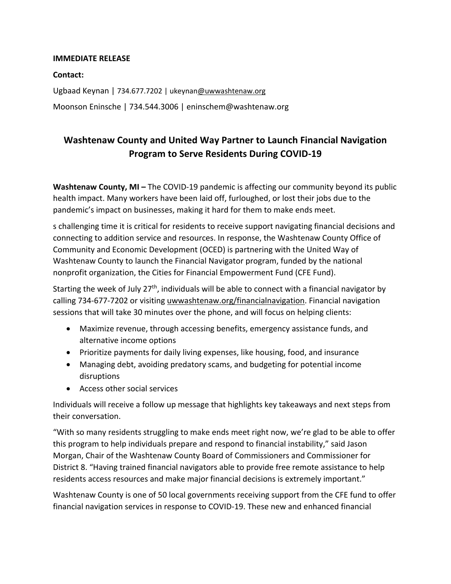## **IMMEDIATE RELEASE**

## **Contact:**

Ugbaad Keynan | 734.677.7202 | ukeyna[n@uwwashtenaw.org](mailto:bhealy@uwwashtenaw.org) Moonson Eninsche | 734.544.3006 | eninschem@washtenaw.org

## **Washtenaw County and United Way Partner to Launch Financial Navigation Program to Serve Residents During COVID-19**

**Washtenaw County, MI** – The COVID-19 pandemic is affecting our community beyond its public health impact. Many workers have been laid off, furloughed, or lost their jobs due to the pandemic's impact on businesses, making it hard for them to make ends meet.

s challenging time it is critical for residents to receive support navigating financial decisions and connecting to addition service and resources. In response, the Washtenaw County Office of Community and Economic Development (OCED) is partnering with the United Way of Washtenaw County to launch the Financial Navigator program, funded by the national nonprofit organization, the Cities for Financial Empowerment Fund (CFE Fund).

Starting the week of July 27<sup>th</sup>, individuals will be able to connect with a financial navigator by calling 734-677-7202 or visiting [uwwashtenaw.org/financialnavigation.](http://www.uwwashtenaw.org/financialnavigation) Financial navigation sessions that will take 30 minutes over the phone, and will focus on helping clients:

- Maximize revenue, through accessing benefits, emergency assistance funds, and alternative income options
- Prioritize payments for daily living expenses, like housing, food, and insurance
- Managing debt, avoiding predatory scams, and budgeting for potential income disruptions
- Access other social services

Individuals will receive a follow up message that highlights key takeaways and next steps from their conversation.

"With so many residents struggling to make ends meet right now, we're glad to be able to offer this program to help individuals prepare and respond to financial instability," said Jason Morgan, Chair of the Washtenaw County Board of Commissioners and Commissioner for District 8. "Having trained financial navigators able to provide free remote assistance to help residents access resources and make major financial decisions is extremely important."

Washtenaw County is one of 50 local governments receiving support from the CFE fund to offer financial navigation services in response to COVID-19. These new and enhanced financial